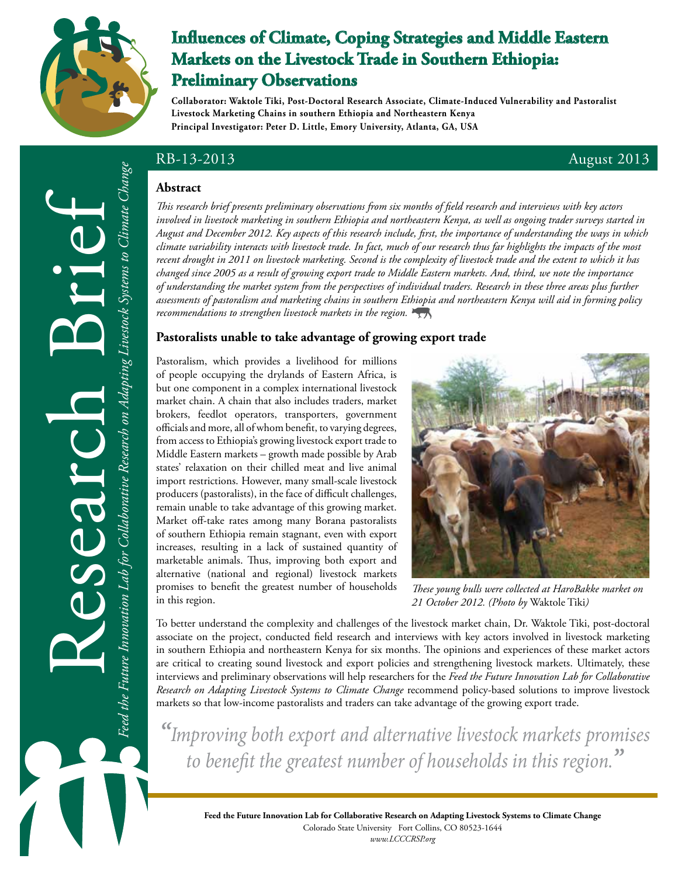

Research Brief

ICC

*Feed the Future Innovation Lab for Collaborative Research on Adapting Livestock Systems to Climate Change*

Feed the Future Innovation Lab for Collaborative Research on Adapting Livestock Systems to Climate Chang

# **Influences of Climate, Coping Strategies and Middle Eastern Markets on the Livestock Trade in Southern Ethiopia: Preliminary Observations**

**Collaborator: Waktole Tiki, Post-Doctoral Research Associate, Climate-Induced Vulnerability and Pastoralist Livestock Marketing Chains in southern Ethiopia and Northeastern Kenya Principal Investigator: Peter D. Little, Emory University, Atlanta, GA, USA**

### RB-13-2013 August 2013

#### **Abstract**

*This research brief presents preliminary observations from six months of field research and interviews with key actors involved in livestock marketing in southern Ethiopia and northeastern Kenya, as well as ongoing trader surveys started in August and December 2012. Key aspects of this research include, first, the importance of understanding the ways in which climate variability interacts with livestock trade. In fact, much of our research thus far highlights the impacts of the most recent drought in 2011 on livestock marketing. Second is the complexity of livestock trade and the extent to which it has changed since 2005 as a result of growing export trade to Middle Eastern markets. And, third, we note the importance of understanding the market system from the perspectives of individual traders. Research in these three areas plus further assessments of pastoralism and marketing chains in southern Ethiopia and northeastern Kenya will aid in forming policy recommendations to strengthen livestock markets in the region.*

#### **Pastoralists unable to take advantage of growing export trade**

Pastoralism, which provides a livelihood for millions of people occupying the drylands of Eastern Africa, is but one component in a complex international livestock market chain. A chain that also includes traders, market brokers, feedlot operators, transporters, government officials and more, all of whom benefit, to varying degrees, from access to Ethiopia's growing livestock export trade to Middle Eastern markets – growth made possible by Arab states' relaxation on their chilled meat and live animal import restrictions. However, many small-scale livestock producers (pastoralists), in the face of difficult challenges, remain unable to take advantage of this growing market. Market off-take rates among many Borana pastoralists of southern Ethiopia remain stagnant, even with export increases, resulting in a lack of sustained quantity of marketable animals. Thus, improving both export and alternative (national and regional) livestock markets promises to benefit the greatest number of households in this region.



*These young bulls were collected at HaroBakke market on 21 October 2012. (Photo by* Waktole Tiki*)*

To better understand the complexity and challenges of the livestock market chain, Dr. Waktole Tiki, post-doctoral associate on the project, conducted field research and interviews with key actors involved in livestock marketing in southern Ethiopia and northeastern Kenya for six months. The opinions and experiences of these market actors are critical to creating sound livestock and export policies and strengthening livestock markets. Ultimately, these interviews and preliminary observations will help researchers for the *Feed the Future Innovation Lab for Collaborative Research on Adapting Livestock Systems to Climate Change* recommend policy-based solutions to improve livestock markets so that low-income pastoralists and traders can take advantage of the growing export trade.

*"Improving both export and alternative livestock markets promises to benefit the greatest number of households in this region."*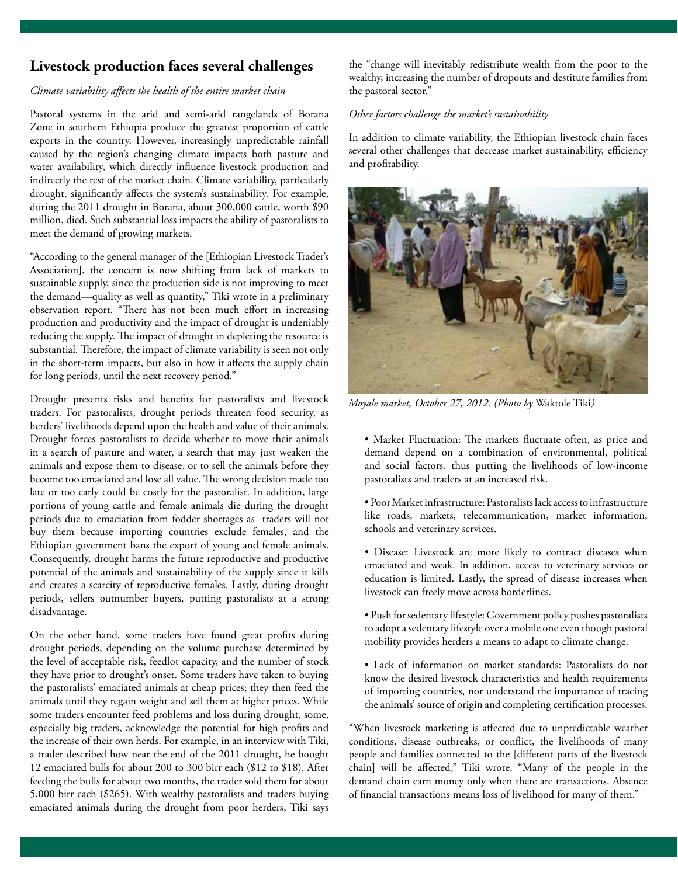## **Livestock production faces several challenges**

#### *Climate variability affects the health of the entire market chain*

Pastoral systems in the arid and semi-arid rangelands of Borana Zone in southern Ethiopia produce the greatest proportion of cattle exports in the country. However, increasingly unpredictable rainfall caused by the region's changing climate impacts both pasture and water availability, which directly influence livestock production and indirectly the rest of the market chain. Climate variability, particularly drought, significantly affects the system's sustainability. For example, during the 2011 drought in Borana, about 300,000 cattle, worth \$90 million, died. Such substantial loss impacts the ability of pastoralists to meet the demand of growing markets.

"According to the general manager of the [Ethiopian Livestock Trader's Association], the concern is now shifting from lack of markets to sustainable supply, since the production side is not improving to meet the demand—quality as well as quantity," Tiki wrote in a preliminary observation report. "There has not been much effort in increasing production and productivity and the impact of drought is undeniably reducing the supply. The impact of drought in depleting the resource is substantial. Therefore, the impact of climate variability is seen not only in the short-term impacts, but also in how it affects the supply chain for long periods, until the next recovery period."

Drought presents risks and benefits for pastoralists and livestock traders. For pastoralists, drought periods threaten food security, as herders' livelihoods depend upon the health and value of their animals. Drought forces pastoralists to decide whether to move their animals in a search of pasture and water, a search that may just weaken the animals and expose them to disease, or to sell the animals before they become too emaciated and lose all value. The wrong decision made too late or too early could be costly for the pastoralist. In addition, large portions of young cattle and female animals die during the drought periods due to emaciation from fodder shortages as traders will not buy them because importing countries exclude females, and the Ethiopian government bans the export of young and female animals. Consequently, drought harms the future reproductive and productive potential of the animals and sustainability of the supply since it kills and creates a scarcity of reproductive females. Lastly, during drought periods, sellers outnumber buyers, putting pastoralists at a strong disadvantage.

On the other hand, some traders have found great profits during drought periods, depending on the volume purchase determined by the level of acceptable risk, feedlot capacity, and the number of stock they have prior to drought's onset. Some traders have taken to buying the pastoralists' emaciated animals at cheap prices; they then feed the animals until they regain weight and sell them at higher prices. While some traders encounter feed problems and loss during drought, some, especially big traders, acknowledge the potential for high profits and the increase of their own herds. For example, in an interview with Tiki, a trader described how near the end of the 2011 drought, he bought 12 emaciated bulls for about 200 to 300 birr each (\$12 to \$18). After feeding the bulls for about two months, the trader sold them for about 5,000 birr each (\$265). With wealthy pastoralists and traders buying emaciated animals during the drought from poor herders, Tiki says

the "change will inevitably redistribute wealth from the poor to the wealthy, increasing the number of dropouts and destitute families from the pastoral sector."

#### *Other factors challenge the market's sustainability*

In addition to climate variability, the Ethiopian livestock chain faces several other challenges that decrease market sustainability, efficiency and profitability.



*Moyale market, October 27, 2012. (Photo by* Waktole Tiki*)*

• Market Fluctuation: The markets fluctuate often, as price and demand depend on a combination of environmental, political and social factors, thus putting the livelihoods of low-income pastoralists and traders at an increased risk.

• Poor Market infrastructure: Pastoralists lack access to infrastructure like roads, markets, telecommunication, market information, schools and veterinary services.

• Disease: Livestock are more likely to contract diseases when emaciated and weak. In addition, access to veterinary services or education is limited. Lastly, the spread of disease increases when livestock can freely move across borderlines.

• Push for sedentary lifestyle: Government policy pushes pastoralists to adopt a sedentary lifestyle over a mobile one even though pastoral mobility provides herders a means to adapt to climate change.

• Lack of information on market standards: Pastoralists do not know the desired livestock characteristics and health requirements of importing countries, nor understand the importance of tracing the animals' source of origin and completing certification processes.

"When livestock marketing is affected due to unpredictable weather conditions, disease outbreaks, or conflict, the livelihoods of many people and families connected to the [different parts of the livestock chain] will be affected," Tiki wrote. "Many of the people in the demand chain earn money only when there are transactions. Absence of financial transactions means loss of livelihood for many of them."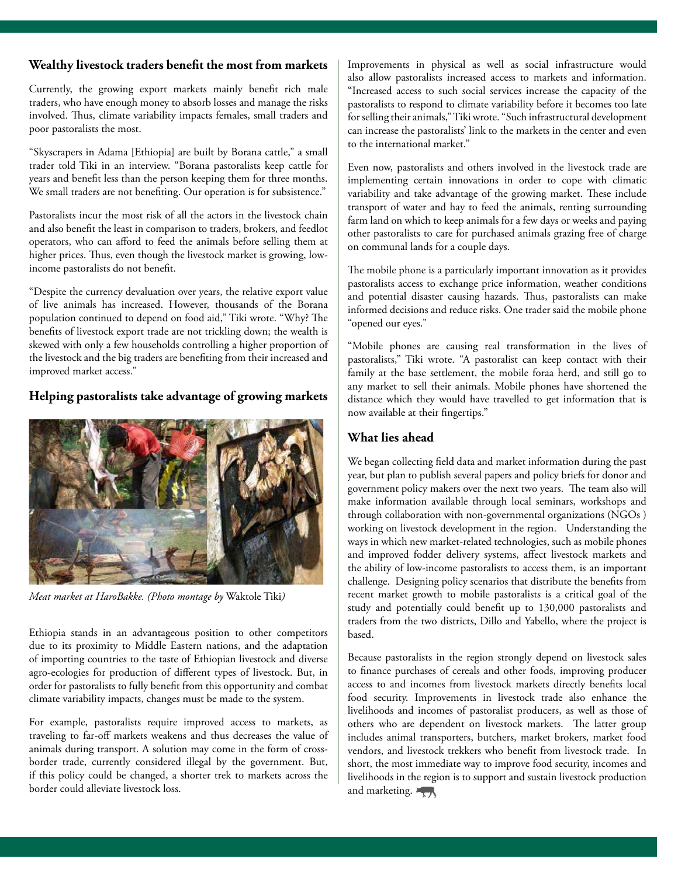#### **Wealthy livestock traders benefit the most from markets**

Currently, the growing export markets mainly benefit rich male traders, who have enough money to absorb losses and manage the risks involved. Thus, climate variability impacts females, small traders and poor pastoralists the most.

"Skyscrapers in Adama [Ethiopia] are built by Borana cattle," a small trader told Tiki in an interview. "Borana pastoralists keep cattle for years and benefit less than the person keeping them for three months. We small traders are not benefiting. Our operation is for subsistence."

Pastoralists incur the most risk of all the actors in the livestock chain and also benefit the least in comparison to traders, brokers, and feedlot operators, who can afford to feed the animals before selling them at higher prices. Thus, even though the livestock market is growing, lowincome pastoralists do not benefit.

"Despite the currency devaluation over years, the relative export value of live animals has increased. However, thousands of the Borana population continued to depend on food aid," Tiki wrote. "Why? The benefits of livestock export trade are not trickling down; the wealth is skewed with only a few households controlling a higher proportion of the livestock and the big traders are benefiting from their increased and improved market access."

#### **Helping pastoralists take advantage of growing markets**



*Meat market at HaroBakke. (Photo montage by* Waktole Tiki*)*

Ethiopia stands in an advantageous position to other competitors due to its proximity to Middle Eastern nations, and the adaptation of importing countries to the taste of Ethiopian livestock and diverse agro-ecologies for production of different types of livestock. But, in order for pastoralists to fully benefit from this opportunity and combat climate variability impacts, changes must be made to the system.

For example, pastoralists require improved access to markets, as traveling to far-off markets weakens and thus decreases the value of animals during transport. A solution may come in the form of crossborder trade, currently considered illegal by the government. But, if this policy could be changed, a shorter trek to markets across the border could alleviate livestock loss.

Improvements in physical as well as social infrastructure would also allow pastoralists increased access to markets and information. "Increased access to such social services increase the capacity of the pastoralists to respond to climate variability before it becomes too late for selling their animals," Tiki wrote. "Such infrastructural development can increase the pastoralists' link to the markets in the center and even to the international market."

Even now, pastoralists and others involved in the livestock trade are implementing certain innovations in order to cope with climatic variability and take advantage of the growing market. These include transport of water and hay to feed the animals, renting surrounding farm land on which to keep animals for a few days or weeks and paying other pastoralists to care for purchased animals grazing free of charge on communal lands for a couple days.

The mobile phone is a particularly important innovation as it provides pastoralists access to exchange price information, weather conditions and potential disaster causing hazards. Thus, pastoralists can make informed decisions and reduce risks. One trader said the mobile phone "opened our eyes."

"Mobile phones are causing real transformation in the lives of pastoralists," Tiki wrote. "A pastoralist can keep contact with their family at the base settlement, the mobile foraa herd, and still go to any market to sell their animals. Mobile phones have shortened the distance which they would have travelled to get information that is now available at their fingertips."

#### **What lies ahead**

We began collecting field data and market information during the past year, but plan to publish several papers and policy briefs for donor and government policy makers over the next two years. The team also will make information available through local seminars, workshops and through collaboration with non-governmental organizations (NGOs ) working on livestock development in the region. Understanding the ways in which new market-related technologies, such as mobile phones and improved fodder delivery systems, affect livestock markets and the ability of low-income pastoralists to access them, is an important challenge. Designing policy scenarios that distribute the benefits from recent market growth to mobile pastoralists is a critical goal of the study and potentially could benefit up to 130,000 pastoralists and traders from the two districts, Dillo and Yabello, where the project is based.

Because pastoralists in the region strongly depend on livestock sales to finance purchases of cereals and other foods, improving producer access to and incomes from livestock markets directly benefits local food security. Improvements in livestock trade also enhance the livelihoods and incomes of pastoralist producers, as well as those of others who are dependent on livestock markets. The latter group includes animal transporters, butchers, market brokers, market food vendors, and livestock trekkers who benefit from livestock trade. In short, the most immediate way to improve food security, incomes and livelihoods in the region is to support and sustain livestock production and marketing.